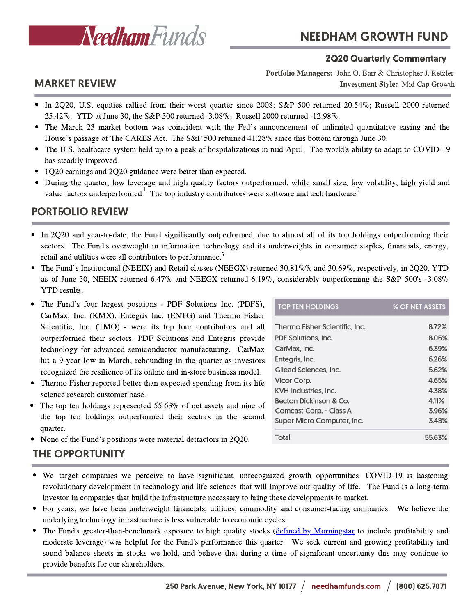

### 2Q20 Quarterly Commentary

Investment Style: Mid Cap Growth Portfolio Managers: John O. Barr & Christopher J. Retzler

# MARKET REVIEW

- In 2Q20, U.S. equities rallied from their worst quarter since 2008; S&P 500 returned 20.54%; Russell 2000 returned 25.42%. YTD at June 30, the S&P 500 returned -3.08%; Russell 2000 returned -12.98%.
- The March <sup>23</sup> market bottom was coincident with the Fed's announcement of unlimited quantitative easing and the House's passage of The CARES Act. The S&P <sup>500</sup> returned 41.28% since this bottom through June 30.
- The U.S. healthcare system held up to a peak of hospitalizations in mid-April. The world's ability to adapt to COVID-19 has steadily improved.
- 1Q20 earnings and 2Q20 guidance were better than expected.
- During the quarter, low leverage and high quality factors outperformed, while small size, low volatility, high yield and  $\bullet$ value factors underperformed. The top industry contributors were software and tech hardware.

## PORTFOLIO REVIEW

- In 2Q20 and year-to-date, the Fund significantly outperformed, due to almost all of its top holdings outperforming their sectors. The Fund's overweight in information technology and its underweights in consumer staples, financials, energy, retail and utilities were all contributors to performance.<sup>3</sup>
- The Fund's Institutional (NEEIX) and Retail classes (NEEGX) returned 30.81%% and 30.69%, respectively, in 2Q20. YTD as of June 30, NEEIX returned 6.47% and NEEGX returned 6.19%, considerably outperforming the S&P 500's -3.08% YTD results.
- The Fund's four largest positions PDF Solutions Inc. (PDFS), CarMax, Inc. (KMX), Entegris Inc. (ENTG) and Thermo Fisher Scientific, Inc. (TMO) - were its top four contributors and all outperformed their sectors. PDF Solutions and Entegris provide technology for advanced semiconductor manufacturing. CarMax hit a 9-year low in March, rebounding in the quarter as investors recognized the resilience of its online and in-store business model.
- Thermo Fisher reported better than expected spending from its life science research customer base.
- The top ten holdings represented 55.63% of net assets and nine of the top ten holdings outperformed their sectors in the second quarter.
- None of the Fund's positions were material detractors in 2Q20.

## THE OPPORTUNITY

- We target companies we perceive to have significant, unrecognized growth opportunities. COVID-19 is hastening revolutionary development in technology and life sciences that will improve our quality of life. The Fund is a long-term investor in companies that build the infrastructure necessary to bring these developments to market.
- For years, we have been underweight financials, utilities, commodity and consumer-facing companies. We believe the underlying technology infrastructure is less vulnerable to economic cycles.
- The Fund's greater-than-benchmark exposure to high quality stocks (defined by [Morningstar](https://www.morningstar.com/content/dam/marketing/shared/pdfs/Research/Factor_Profile_Methodology.pdf) to include profitability and moderate leverage) was helpful for the Fund's performance this quarter. We seek current and growing profitability and sound balance sheets in stocks we hold, and believe that during a time of significant uncertainty this may continue to provide benefits for our shareholders.

| <b>TOP TEN HOLDINGS</b>        | % OF NET ASSETS |
|--------------------------------|-----------------|
| Thermo Fisher Scientific, Inc. | 8.72%           |
| PDF Solutions. Inc.            | 8.06%           |
| CarMax, Inc.                   | 6.39%           |
| Entegris, Inc.                 | 6.26%           |
| Gilead Sciences. Inc.          | 5.62%           |
| Vicor Corp.                    | 4.65%           |
| <b>KVH Industries, Inc.</b>    | 4.38%           |
| Becton Dickinson & Co.         | 4.11%           |
| Comcast Corp. - Class A        | 3.96%           |
| Super Micro Computer, Inc.     | 3.48%           |
| Total                          | 55.63%          |